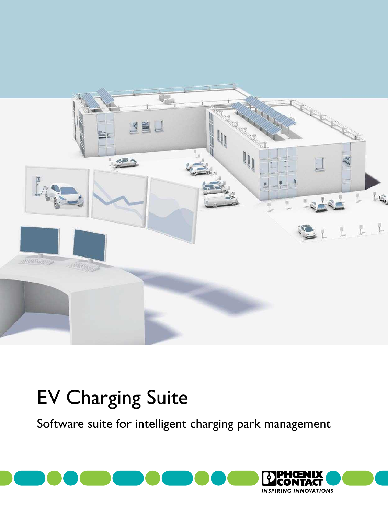

## EV Charging Suite

Software suite for intelligent charging park management